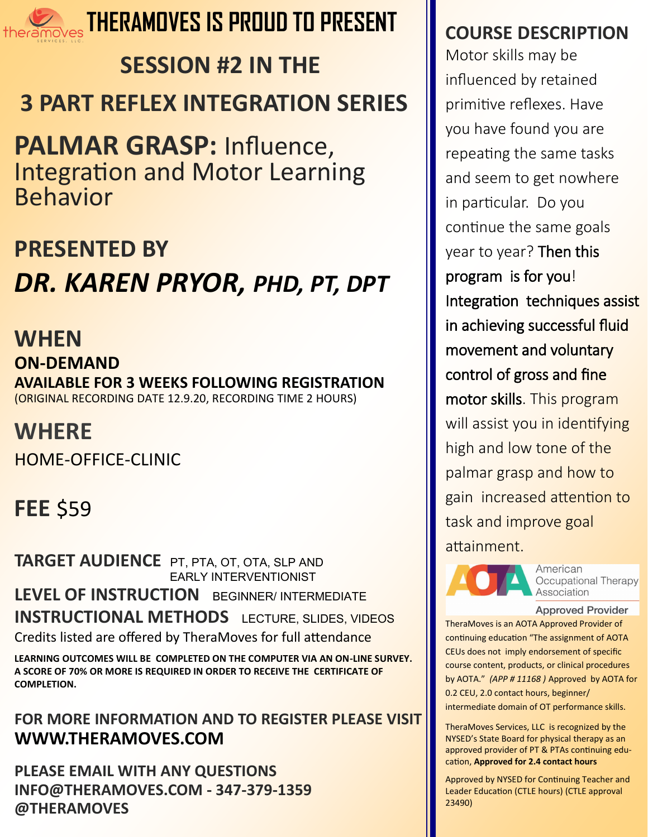

### **THERAMOVES IS PROUD TO PRESENT**

# **SESSION #2 IN THE 3 PART REFLEX INTEGRATION SERIES**

**PALMAR GRASP:** Influence, Integration and Motor Learning Behavior

### **PRESENTED BY**

# *DR. KAREN PRYOR, PHD, PT, DPT*

### **WHEN**

**ON-DEMAND AVAILABLE FOR 3 WEEKS FOLLOWING REGISTRATION**  (ORIGINAL RECORDING DATE 12.9.20, RECORDING TIME 2 HOURS)

### **WHERE**

HOME-OFFICE-CLINIC

## **FEE** \$59

**TARGET AUDIENCE** PT, PTA, OT, OTA, SLP AND EARLY INTERVENTIONIST **LEVEL OF INSTRUCTION** BEGINNER/ INTERMEDIATE **INSTRUCTIONAL METHODS** LECTURE, SLIDES, VIDEOS Credits listed are offered by TheraMoves for full attendance

**LEARNING OUTCOMES WILL BE COMPLETED ON THE COMPUTER VIA AN ON-LINE SURVEY. A SCORE OF 70% OR MORE IS REQUIRED IN ORDER TO RECEIVE THE CERTIFICATE OF COMPLETION.** 

#### **FOR MORE INFORMATION AND TO REGISTER PLEASE VISIT WWW.THERAMOVES.COM**

**PLEASE EMAIL WITH ANY QUESTIONS INFO@THERAMOVES.COM - 347-379-1359 @THERAMOVES**

### **COURSE DESCRIPTION**

Motor skills may be influenced by retained primitive reflexes. Have you have found you are repeating the same tasks and seem to get nowhere in particular. Do you continue the same goals year to year? Then this program is for you! Integration techniques assist in achieving successful fluid movement and voluntary control of gross and fine motor skills. This program will assist you in identifying high and low tone of the palmar grasp and how to gain increased attention to task and improve goal attainment.



American Occupational Therapy Association

#### **Approved Provider**

TheraMoves is an AOTA Approved Provider of continuing education "The assignment of AOTA CEUs does not imply endorsement of specific course content, products, or clinical procedures by AOTA." *(APP # 11168 )* Approved by AOTA for 0.2 CEU, 2.0 contact hours, beginner/ intermediate domain of OT performance skills.

TheraMoves Services, LLC is recognized by the NYSED's State Board for physical therapy as an approved provider of PT & PTAs continuing education, **Approved for 2.4 contact hours**

Approved by NYSED for Continuing Teacher and Leader Education (CTLE hours) (CTLE approval 23490)